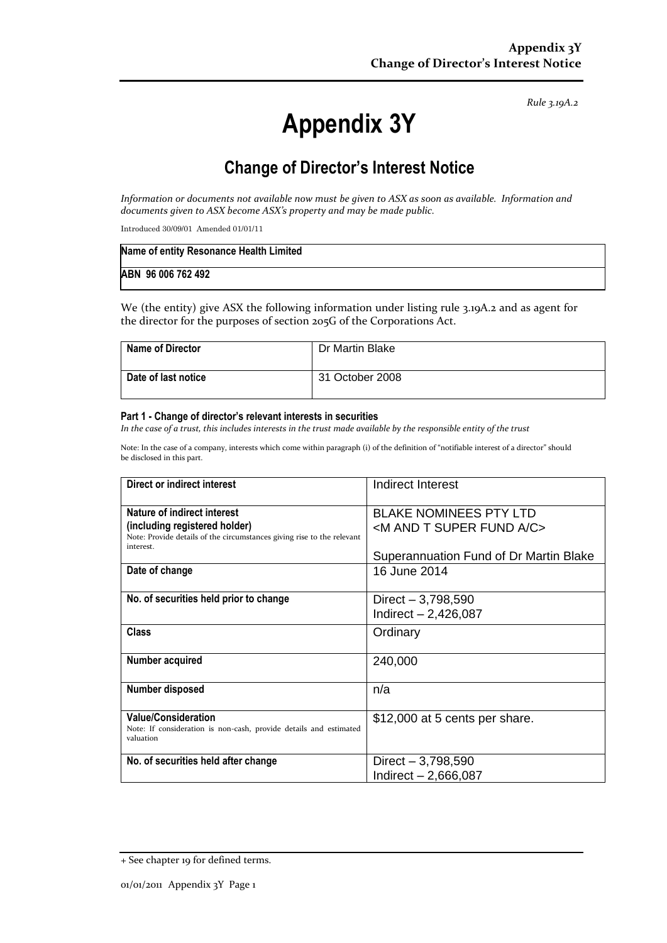*Rule 3.19A.2*

# **Appendix 3Y**

## **Change of Director's Interest Notice**

*Information or documents not available now must be given to ASX as soon as available. Information and documents given to ASX become ASX's property and may be made public.*

Introduced 30/09/01 Amended 01/01/11

| Name of entity Resonance Health Limited |  |
|-----------------------------------------|--|
| ABN 96 006 762 492                      |  |

We (the entity) give ASX the following information under listing rule 3.19A.2 and as agent for the director for the purposes of section 205G of the Corporations Act.

| <b>Name of Director</b> | Dr Martin Blake |
|-------------------------|-----------------|
| Date of last notice     | 31 October 2008 |

#### **Part 1 - Change of director's relevant interests in securities**

*In the case of a trust, this includes interests in the trust made available by the responsible entity of the trust*

Note: In the case of a company, interests which come within paragraph (i) of the definition of "notifiable interest of a director" should be disclosed in this part.

| Direct or indirect interest                                                                                                                         | Indirect Interest                                                               |
|-----------------------------------------------------------------------------------------------------------------------------------------------------|---------------------------------------------------------------------------------|
| Nature of indirect interest<br>(including registered holder)<br>Note: Provide details of the circumstances giving rise to the relevant<br>interest. | <b>BLAKE NOMINEES PTY LTD</b><br><m a="" and="" c="" fund="" super="" t=""></m> |
|                                                                                                                                                     | Superannuation Fund of Dr Martin Blake                                          |
| Date of change                                                                                                                                      | 16 June 2014                                                                    |
| No. of securities held prior to change                                                                                                              | Direct $-3,798,590$<br>Indirect $- 2,426,087$                                   |
| <b>Class</b>                                                                                                                                        | Ordinary                                                                        |
| Number acquired                                                                                                                                     | 240,000                                                                         |
| Number disposed                                                                                                                                     | n/a                                                                             |
| <b>Value/Consideration</b><br>Note: If consideration is non-cash, provide details and estimated<br>valuation                                        | \$12,000 at 5 cents per share.                                                  |
| No. of securities held after change                                                                                                                 | Direct $-3,798,590$<br>Indirect - 2,666,087                                     |

<sup>+</sup> See chapter 19 for defined terms.